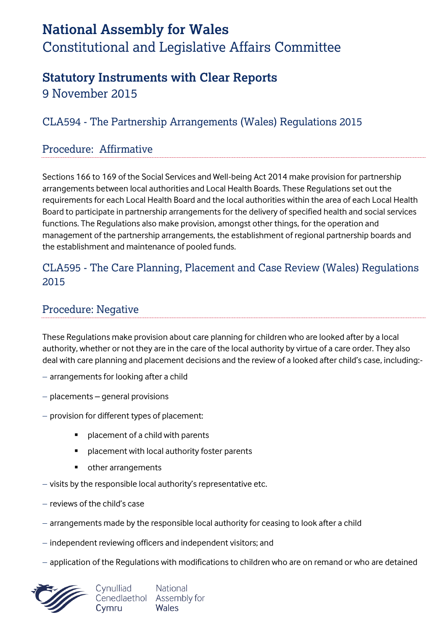# **National Assembly for Wales** Constitutional and Legislative Affairs Committee

## **Statutory Instruments with Clear Reports**

9 November 2015

## CLA594 - The Partnership Arrangements (Wales) Regulations 2015

#### Procedure: Affirmative

Sections 166 to 169 of the Social Services and Well-being Act 2014 make provision for partnership arrangements between local authorities and Local Health Boards. These Regulations set out the requirements for each Local Health Board and the local authorities within the area of each Local Health Board to participate in partnership arrangements for the delivery of specified health and social services functions. The Regulations also make provision, amongst other things, for the operation and management of the partnership arrangements, the establishment of regional partnership boards and the establishment and maintenance of pooled funds.

#### CLA595 - The Care Planning, Placement and Case Review (Wales) Regulations 2015

## Procedure: Negative

These Regulations make provision about care planning for children who are looked after by a local authority, whether or not they are in the care of the local authority by virtue of a care order. They also deal with care planning and placement decisions and the review of a looked after child's case, including:-

- arrangements for looking after a child
- $-$  placements  $-$  general provisions
- $-$  provision for different types of placement:
	- placement of a child with parents
	- **P** placement with local authority foster parents
	- other arrangements
- $-$  visits by the responsible local authority's representative etc.
- reviews of the child's case
- arrangements made by the responsible local authority for ceasing to look after a child
- $-$  independent reviewing officers and independent visitors; and
- application of the Regulations with modifications to children who are on remand or who are detained

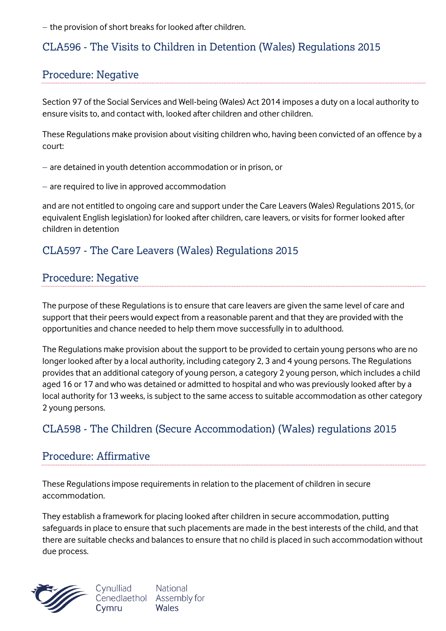$-$  the provision of short breaks for looked after children.

#### CLA596 - The Visits to Children in Detention (Wales) Regulations 2015

#### Procedure: Negative

Section 97 of the Social Services and Well-being (Wales) Act 2014 imposes a duty on a local authority to ensure visits to, and contact with, looked after children and other children.

These Regulations make provision about visiting children who, having been convicted of an offence by a court:

- are detained in youth detention accommodation or in prison, or

 $-$  are required to live in approved accommodation

and are not entitled to ongoing care and support under the Care Leavers (Wales) Regulations 2015, (or equivalent English legislation) for looked after children, care leavers, or visits for former looked after children in detention

## CLA597 - The Care Leavers (Wales) Regulations 2015

#### Procedure: Negative

The purpose of these Regulations is to ensure that care leavers are given the same level of care and support that their peers would expect from a reasonable parent and that they are provided with the opportunities and chance needed to help them move successfully in to adulthood.

The Regulations make provision about the support to be provided to certain young persons who are no longer looked after by a local authority, including category 2, 3 and 4 young persons. The Regulations provides that an additional category of young person, a category 2 young person, which includes a child aged 16 or 17 and who was detained or admitted to hospital and who was previously looked after by a local authority for 13 weeks, is subject to the same access to suitable accommodation as other category 2 young persons.

## CLA598 - The Children (Secure Accommodation) (Wales) regulations 2015

#### Procedure: Affirmative

These Regulations impose requirements in relation to the placement of children in secure accommodation.

They establish a framework for placing looked after children in secure accommodation, putting safeguards in place to ensure that such placements are made in the best interests of the child, and that there are suitable checks and balances to ensure that no child is placed in such accommodation without due process.



Cynulliad **National** Cenedlaethol Assembly for Wales Cymru